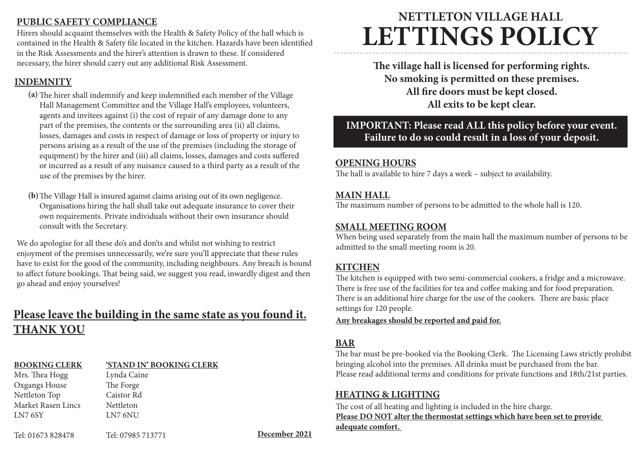#### **PUBLIC SAFETY COMPLIANCE**

Hirers should acquaint themselves with the Health & Safety Policy of the hall which is contained in the Health & Safety file located in the kitchen. Hazards have been identified in the Risk Assessments and the hirer's attention is drawn to these. If considered necessary, the hirer should carry out any additional Risk Assessment.

#### **INDEMNITY**

- The hirer shall indemnify and keep indemnified each member of the Village **(a)** Hall Management Committee and the Village Hall's employees, volunteers, agents and invitees against (i) the cost of repair of any damage done to any part of the premises, the contents or the surrounding area (ii) all claims, losses, damages and costs in respect of damage or loss of property or injury to persons arising as a result of the use of the premises (including the storage of equipment) by the hirer and (iii) all claims, losses, damages and costs suffered or incurred as a result of any nuisance caused to a third party as a result of the use of the premises by the hirer.
- The Village Hall is insured against claims arising out of its own negligence. **(b)** Organisations hiring the hall shall take out adequate insurance to cover their own requirements. Private individuals without their own insurance should consult with the Secretary.

We do apologise for all these do's and don'ts and whilst not wishing to restrict enjoyment of the premises unnecessarily, we're sure you'll appreciate that these rules have to exist for the good of the community, including neighbours. Any breach is bound to affect future bookings. That being said, we suggest you read, inwardly digest and then go ahead and enjoy yourselves!

# **Please leave the building in the same state as you found it. THANK YOU**

#### **BOOKING CLERK**

#### **'STAND IN' BOOKING CLERK**

Mrs. Thea Hogg Oxgangs House Nettleton Top Market Rasen Lincs LN7 6SY

Tel: 01673 828478 **December 2021** Tel: 07985 713771

Lynda Caine The Forge Caistor Rd **Nettleton** LN7 6NU

# **NETTLETON VILLAGE HALL LETTINGS POLICY**

**The village hall is licensed for performing rights. No smoking is permitted on these premises. All fire doors must be kept closed. All exits to be kept clear.**

# **IMPORTANT: Please read ALL this policy before your event. Failure to do so could result in a loss of your deposit.**

#### **OPENING HOURS**

The hall is available to hire 7 days a week – subject to availability.

#### **MAIN HALL**

The maximum number of persons to be admitted to the whole hall is 120.

#### **SMALL MEETING ROOM**

When being used separately from the main hall the maximum number of persons to be admitted to the small meeting room is 20.

#### **KITCHEN**

The kitchen is equipped with two semi-commercial cookers, a fridge and a microwave. There is free use of the facilities for tea and coffee making and for food preparation. There is an additional hire charge for the use of the cookers. There are basic place settings for 120 people.

#### **Any breakages should be reported and paid for.**

#### **BAR**

The bar must be pre-booked via the Booking Clerk. The Licensing Laws strictly prohibit bringing alcohol into the premises. All drinks must be purchased from the bar. Please read additional terms and conditions for private functions and 18th/21st parties.

#### **HEATING & LIGHTING**

The cost of all heating and lighting is included in the hire charge. **Please DO NOT alter the thermostat settings which have been set to provide adequate comfort.**